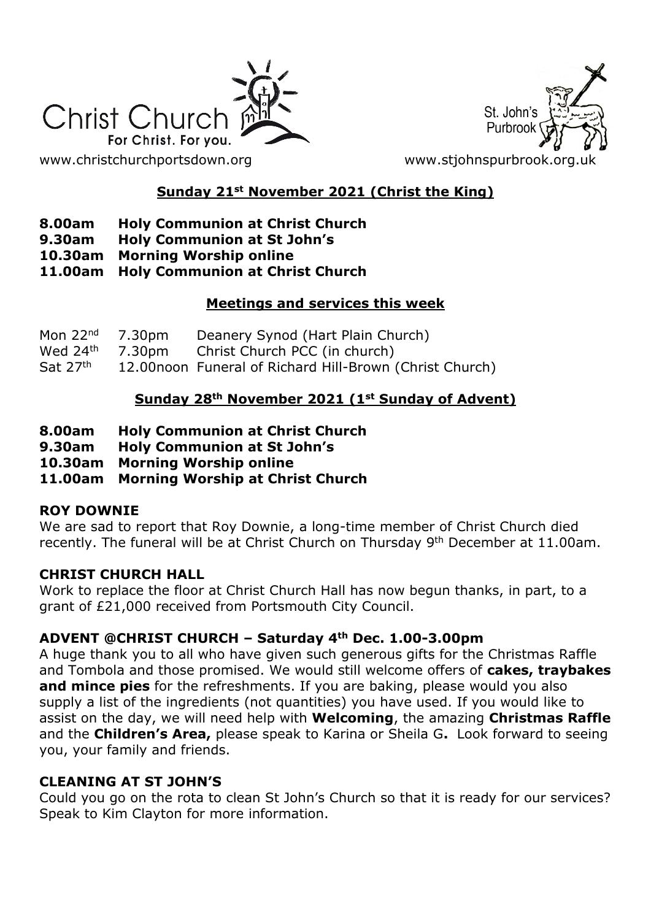



### **Sunday 21st November 2021 (Christ the King)**

- **8.00am Holy Communion at Christ Church**
- **9.30am Holy Communion at St John's**
- **10.30am Morning Worship online**
- **11.00am Holy Communion at Christ Church**

### **Meetings and services this week**

| Mon $22nd$ 7.30pm    | Deanery Synod (Hart Plain Church)                       |
|----------------------|---------------------------------------------------------|
|                      | Wed $24th$ 7.30pm Christ Church PCC (in church)         |
| Sat 27 <sup>th</sup> | 12.00noon Funeral of Richard Hill-Brown (Christ Church) |

### **Sunday 28th November 2021 (1st Sunday of Advent)**

- **8.00am Holy Communion at Christ Church**
- **9.30am Holy Communion at St John's**
- **10.30am Morning Worship online**
- **11.00am Morning Worship at Christ Church**

### **ROY DOWNIE**

We are sad to report that Roy Downie, a long-time member of Christ Church died recently. The funeral will be at Christ Church on Thursday 9<sup>th</sup> December at 11.00am.

### **CHRIST CHURCH HALL**

Work to replace the floor at Christ Church Hall has now begun thanks, in part, to a grant of £21,000 received from Portsmouth City Council.

### **ADVENT @CHRIST CHURCH – Saturday 4th Dec. 1.00-3.00pm**

A huge thank you to all who have given such generous gifts for the Christmas Raffle and Tombola and those promised. We would still welcome offers of **cakes, traybakes and mince pies** for the refreshments. If you are baking, please would you also supply a list of the ingredients (not quantities) you have used. If you would like to assist on the day, we will need help with **Welcoming**, the amazing **Christmas Raffle** and the **Children's Area,** please speak to Karina or Sheila G**.** Look forward to seeing you, your family and friends.

### **CLEANING AT ST JOHN'S**

Could you go on the rota to clean St John's Church so that it is ready for our services? Speak to Kim Clayton for more information.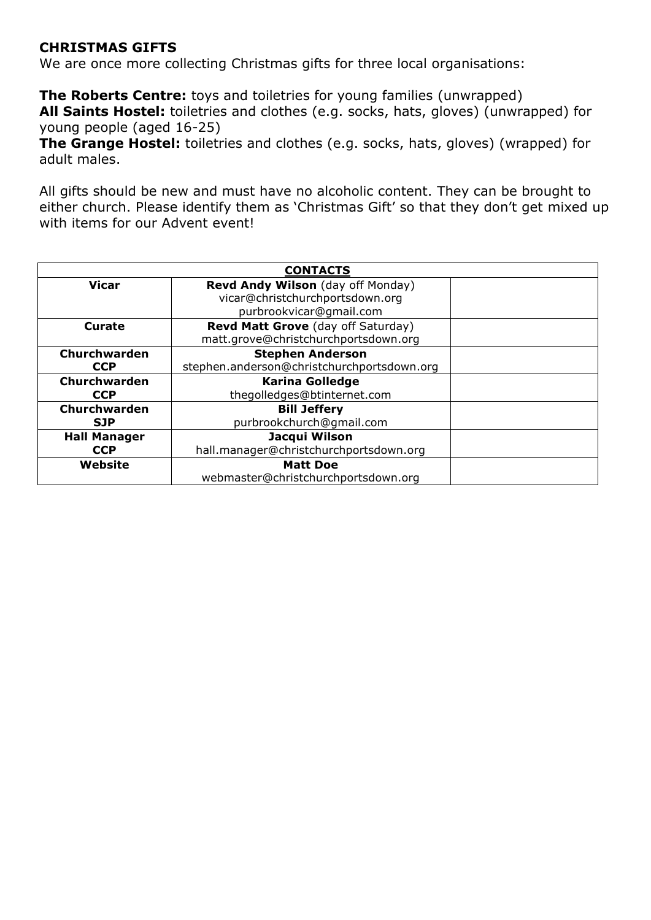### **CHRISTMAS GIFTS**

We are once more collecting Christmas gifts for three local organisations:

**The Roberts Centre:** toys and toiletries for young families (unwrapped) **All Saints Hostel:** toiletries and clothes (e.g. socks, hats, gloves) (unwrapped) for young people (aged 16-25)

**The Grange Hostel:** toiletries and clothes (e.g. socks, hats, gloves) (wrapped) for adult males.

All gifts should be new and must have no alcoholic content. They can be brought to either church. Please identify them as 'Christmas Gift' so that they don't get mixed up with items for our Advent event!

| <b>CONTACTS</b>     |                                            |  |  |
|---------------------|--------------------------------------------|--|--|
| <b>Vicar</b>        | Revd Andy Wilson (day off Monday)          |  |  |
|                     | vicar@christchurchportsdown.org            |  |  |
|                     | purbrookvicar@gmail.com                    |  |  |
| Curate              | Revd Matt Grove (day off Saturday)         |  |  |
|                     | matt.grove@christchurchportsdown.org       |  |  |
| Churchwarden        | <b>Stephen Anderson</b>                    |  |  |
| <b>CCP</b>          | stephen.anderson@christchurchportsdown.org |  |  |
| Churchwarden        | <b>Karina Golledge</b>                     |  |  |
| <b>CCP</b>          | thegolledges@btinternet.com                |  |  |
| Churchwarden        | <b>Bill Jeffery</b>                        |  |  |
| <b>SJP</b>          | purbrookchurch@qmail.com                   |  |  |
| <b>Hall Manager</b> | Jacqui Wilson                              |  |  |
| <b>CCP</b>          | hall.manager@christchurchportsdown.org     |  |  |
| Website             | <b>Matt Doe</b>                            |  |  |
|                     | webmaster@christchurchportsdown.org        |  |  |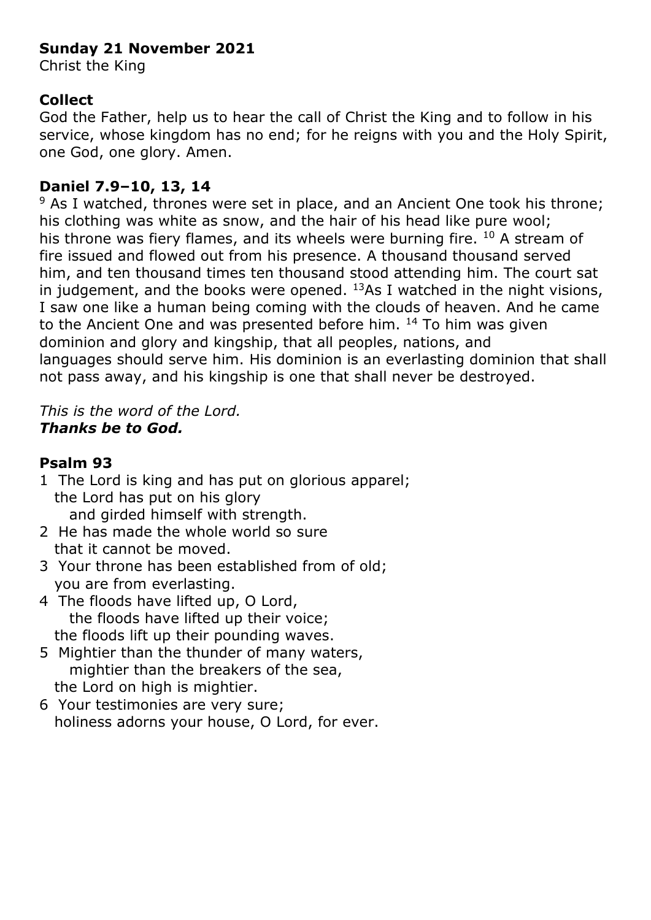# **Sunday 21 November 2021**

Christ the King

# **Collect**

God the Father, help us to hear the call of Christ the King and to follow in his service, whose kingdom has no end; for he reigns with you and the Holy Spirit, one God, one glory. Amen.

# **Daniel 7.9–10, 13, 14**

 $9$  As I watched, thrones were set in place, and an Ancient One took his throne; his clothing was white as snow, and the hair of his head like pure wool; his throne was fiery flames, and its wheels were burning fire.  $10$  A stream of fire issued and flowed out from his presence. A thousand thousand served him, and ten thousand times ten thousand stood attending him. The court sat in judgement, and the books were opened.  $^{13}$ As I watched in the night visions, I saw one like a human being coming with the clouds of heaven. And he came to the Ancient One and was presented before him. <sup>14</sup> To him was given dominion and glory and kingship, that all peoples, nations, and languages should serve him. His dominion is an everlasting dominion that shall not pass away, and his kingship is one that shall never be destroyed.

## *This is the word of the Lord. Thanks be to God.*

# **Psalm 93**

- 1 The Lord is king and has put on glorious apparel; the Lord has put on his glory and girded himself with strength.
- 2 He has made the whole world so sure that it cannot be moved.
- 3 Your throne has been established from of old; you are from everlasting.
- 4 The floods have lifted up, O Lord, the floods have lifted up their voice; the floods lift up their pounding waves.
- 5 Mightier than the thunder of many waters, mightier than the breakers of the sea, the Lord on high is mightier.
- 6 Your testimonies are very sure; holiness adorns your house, O Lord, for ever.